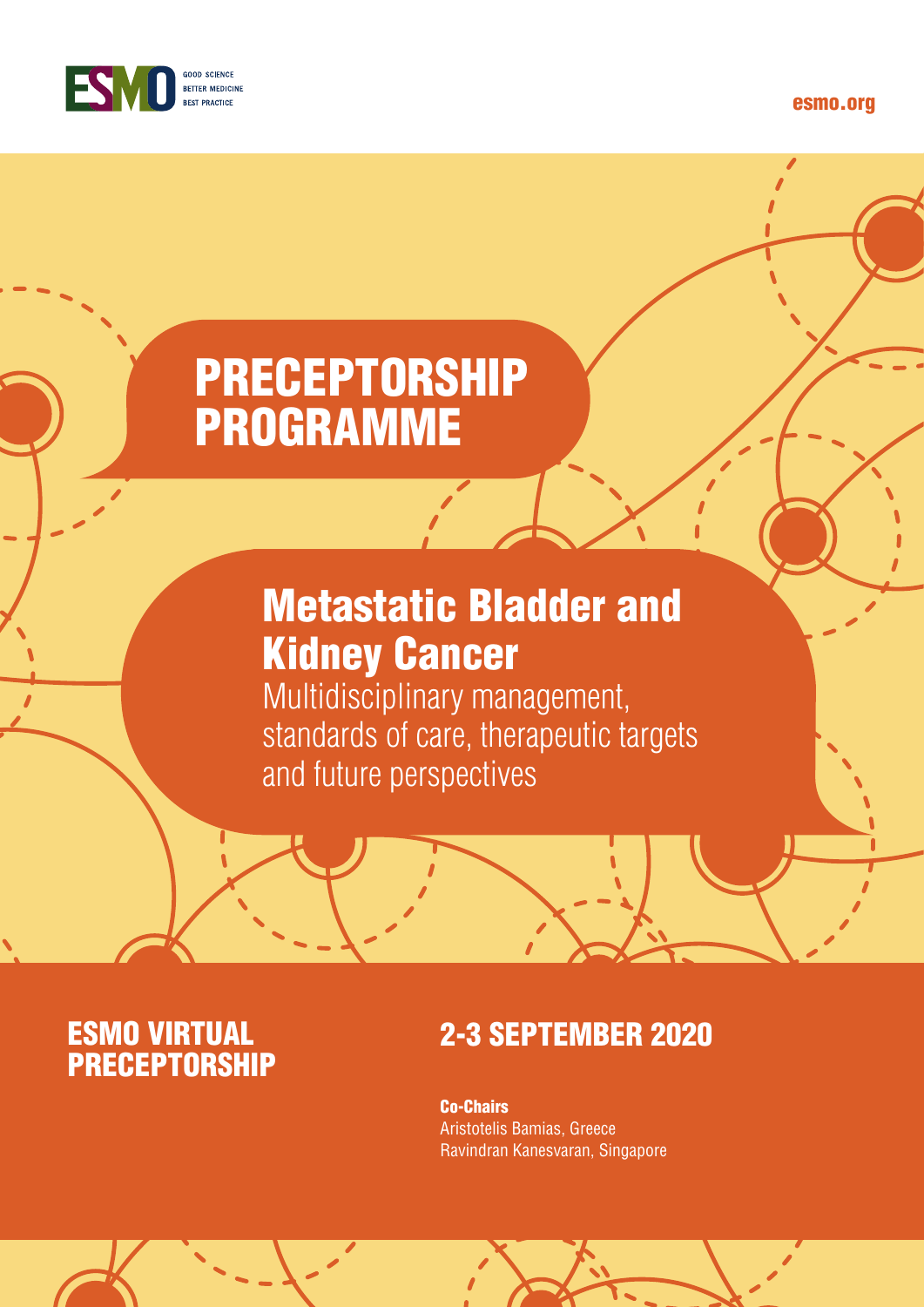

#### esmo.org

# PRECEPTORSHIP PROGRAMME

## Metastatic Bladder and Kidney Cancer

Multidisciplinary management, standards of care, therapeutic targets and future perspectives

# **ESMO VIRTUAL<br>PRECEPTORSHIP**

## **2-3 SEPTEMBER 2020**

Co-Chairs Aristotelis Bamias, Greece Ravindran Kanesvaran, Singapore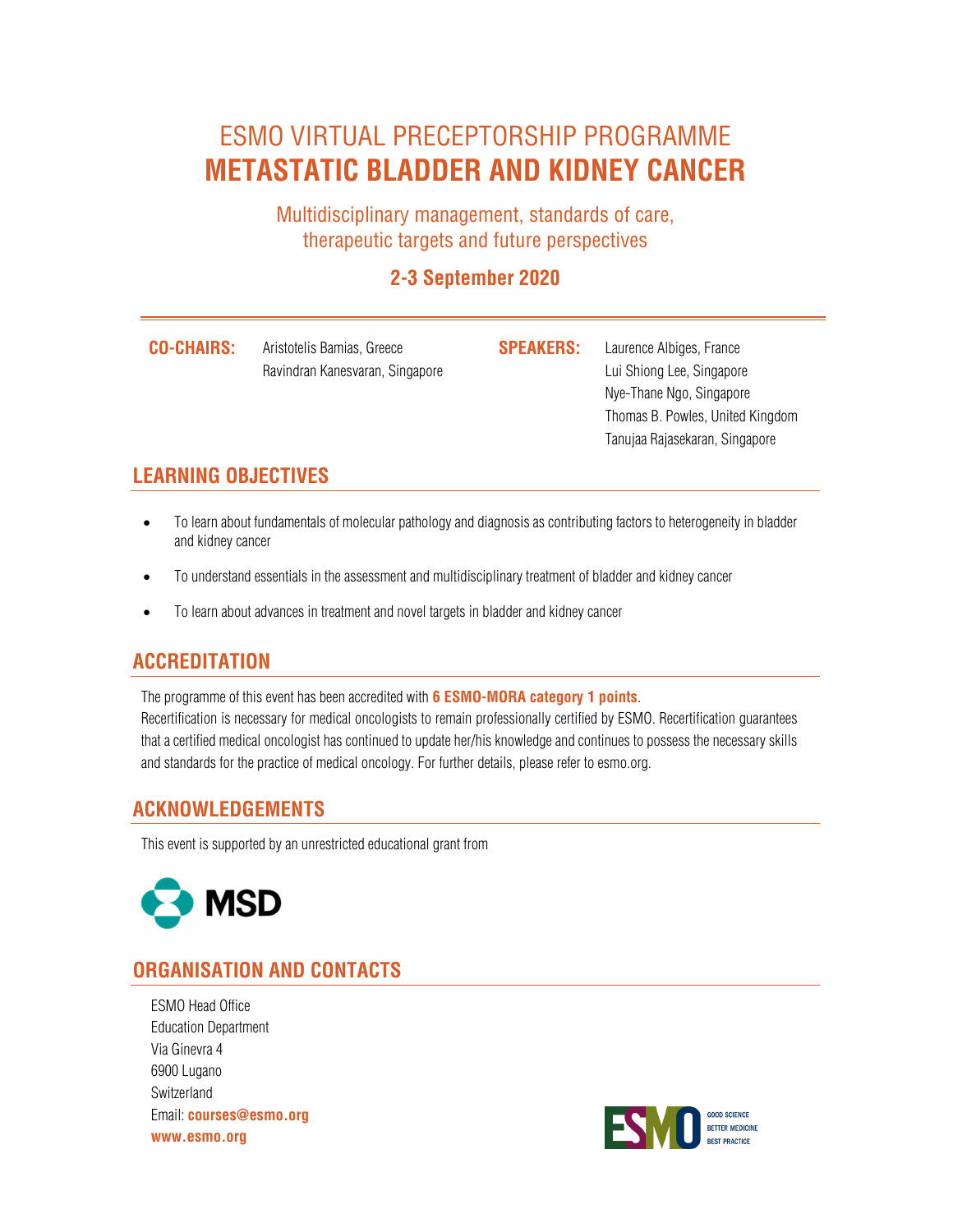### ESMO VIRTUAL PRECEPTORSHIP PROGRAMME **METASTATIC BLADDER AND KIDNEY CANCER**

Multidisciplinary management, standards of care, therapeutic targets and future perspectives

#### **2-3 September 2020**

**CO-CHAIRS:** Aristotelis Bamias, Greece **SPEAKERS:** Laurence Albiges, France Ravindran Kanesvaran, Singapore **Lui Shiong Lee, Singapore** Lui Shiong Lee, Singapore

Nye-Thane Ngo, Singapore Thomas B. Powles, United Kingdom Tanujaa Rajasekaran, Singapore

#### **LEARNING OBJECTIVES**

- To learn about fundamentals of molecular pathology and diagnosis as contributing factors to heterogeneity in bladder and kidney cancer
- To understand essentials in the assessment and multidisciplinary treatment of bladder and kidney cancer
- To learn about advances in treatment and novel targets in bladder and kidney cancer

#### **ACCREDITATION**

The programme of this event has been accredited with **6 ESMO-MORA category 1 points**. Recertification is necessary for medical oncologists to remain professionally certified by ESMO. Recertification guarantees that a certified medical oncologist has continued to update her/his knowledge and continues to possess the necessary skills and standards for the practice of medical oncology. For further details, please refer to esmo.org.

#### **ACKNOWLEDGEMENTS**

This event is supported by an unrestricted educational grant from



#### **ORGANISATION AND CONTACTS**

ESMO Head Office Education Department Via Ginevra 4 6900 Lugano Switzerland Email: **courses@esmo.org www.esmo.org**

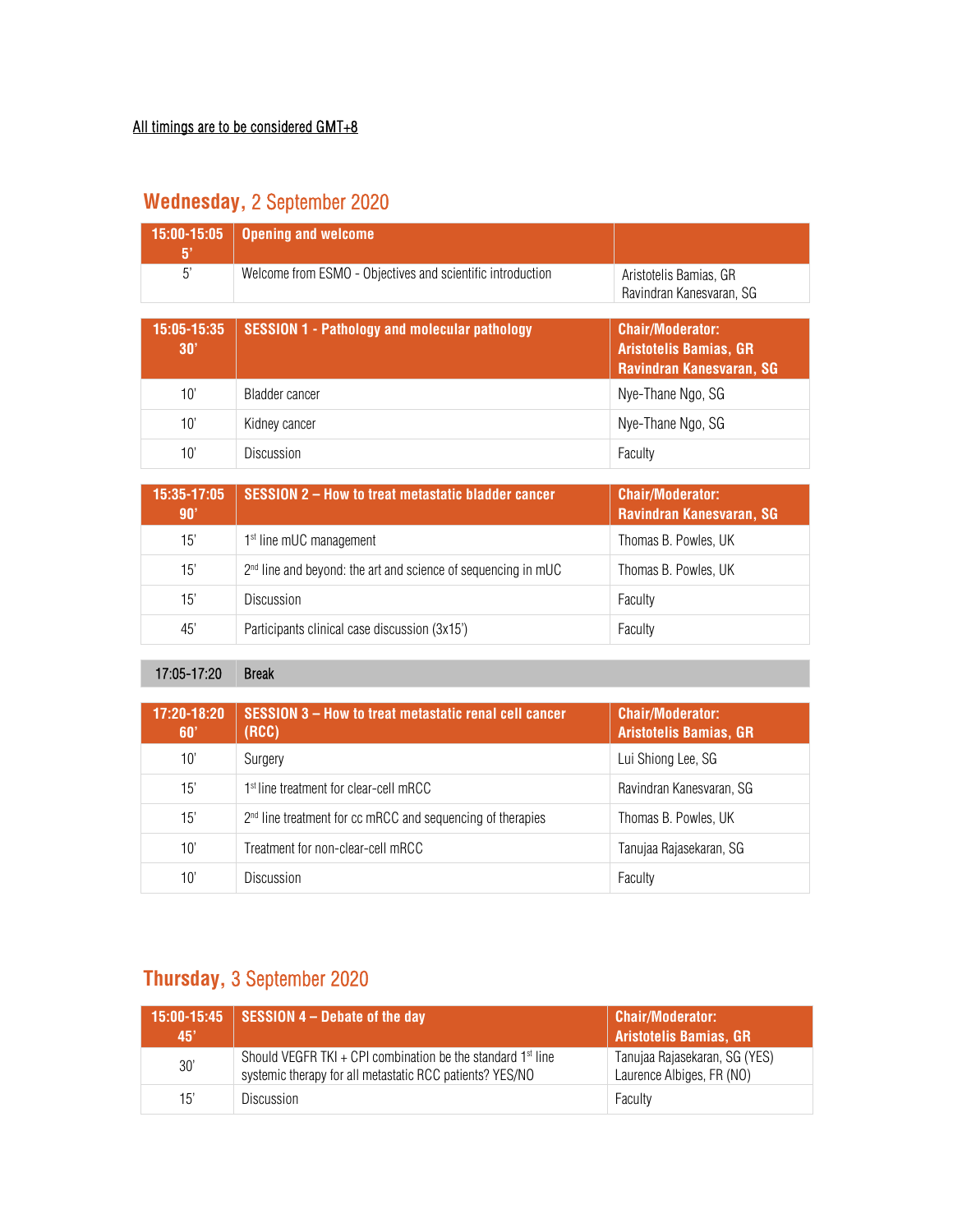| 15:00-15:05<br>$5^{\circ}$ | <b>Opening and welcome</b>                                 |                                                                                      |
|----------------------------|------------------------------------------------------------|--------------------------------------------------------------------------------------|
| 5'                         | Welcome from ESMO - Objectives and scientific introduction | Aristotelis Bamias, GR<br>Ravindran Kanesvaran, SG                                   |
| 15:05-15:35<br>30'         | <b>SESSION 1 - Pathology and molecular pathology</b>       | <b>Chair/Moderator:</b><br><b>Aristotelis Bamias, GR</b><br>Ravindran Kanesvaran, SG |
| 10'                        | Bladder cancer                                             | Nye-Thane Ngo, SG                                                                    |
| 10'                        | Kidney cancer                                              | Nye-Thane Ngo, SG                                                                    |

#### **Wednesday,** 2 September 2020

| 15:35-17:05<br>90' | <b>SESSION 2-How to treat metastatic bladder cancer</b>                   | <b>Chair/Moderator:</b><br><b>Ravindran Kanesvaran, SG</b> |
|--------------------|---------------------------------------------------------------------------|------------------------------------------------------------|
| 15'                | 1 <sup>st</sup> line mUC management                                       | Thomas B. Powles, UK                                       |
| 15'                | 2 <sup>nd</sup> line and beyond: the art and science of sequencing in mUC | Thomas B. Powles, UK                                       |
| 15'                | <b>Discussion</b>                                                         | Faculty                                                    |
| 45'                | Participants clinical case discussion (3x15')                             | Faculty                                                    |

10' Discussion **Faculty** 

17:05-17:20 Break

| 17:20-18:20<br>60' | SESSION 3 - How to treat metastatic renal cell cancer<br>(RCC)         | <b>Chair/Moderator:</b><br><b>Aristotelis Bamias, GR</b> |
|--------------------|------------------------------------------------------------------------|----------------------------------------------------------|
| 10'                | Surgery                                                                | Lui Shiong Lee, SG                                       |
| 15'                | 1 <sup>st</sup> line treatment for clear-cell mRCC                     | Ravindran Kanesvaran, SG                                 |
| 15'                | 2 <sup>nd</sup> line treatment for cc mRCC and sequencing of therapies | Thomas B. Powles, UK                                     |
| 10'                | Treatment for non-clear-cell mRCC                                      | Tanujaa Rajasekaran, SG                                  |
| $10^{\circ}$       | <b>Discussion</b>                                                      | Faculty                                                  |

#### **Thursday,** 3 September 2020

| 45' | $\mid$ 15:00-15:45 SESSION 4 – Debate of the day                                                                                    | <b>Chair/Moderator:</b><br>Aristotelis Bamias, GR          |
|-----|-------------------------------------------------------------------------------------------------------------------------------------|------------------------------------------------------------|
| 30' | Should VEGFR TKI + CPI combination be the standard 1 <sup>st</sup> line<br>systemic therapy for all metastatic RCC patients? YES/NO | Tanujaa Rajasekaran, SG (YES)<br>Laurence Albiges, FR (NO) |
| 15' | Discussion                                                                                                                          | Faculty                                                    |